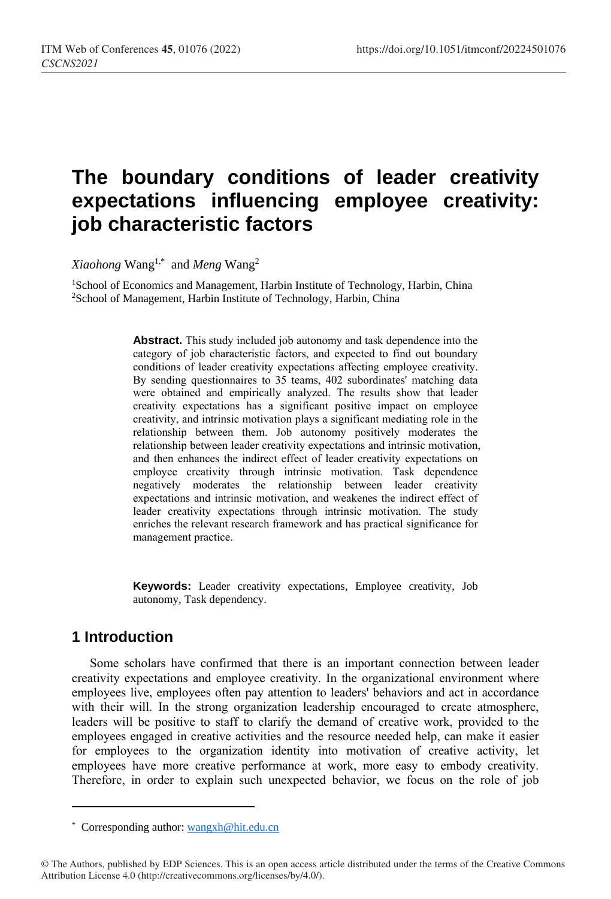# **The boundary conditions of leader creativity expectations influencing employee creativity: job characteristic factors**

*Xiaohong* Wang1,\* and *Meng* Wang<sup>2</sup>

<sup>1</sup>School of Economics and Management, Harbin Institute of Technology, Harbin, China <sup>2</sup>School of Management, Harbin Institute of Technology, Harbin, China

> **Abstract.** This study included job autonomy and task dependence into the category of job characteristic factors, and expected to find out boundary conditions of leader creativity expectations affecting employee creativity. By sending questionnaires to 35 teams, 402 subordinates' matching data were obtained and empirically analyzed. The results show that leader creativity expectations has a significant positive impact on employee creativity, and intrinsic motivation plays a significant mediating role in the relationship between them. Job autonomy positively moderates the relationship between leader creativity expectations and intrinsic motivation, and then enhances the indirect effect of leader creativity expectations on employee creativity through intrinsic motivation. Task dependence negatively moderates the relationship between leader creativity expectations and intrinsic motivation, and weakenes the indirect effect of leader creativity expectations through intrinsic motivation. The study enriches the relevant research framework and has practical significance for management practice.

> **Keywords:** Leader creativity expectations, Employee creativity, Job autonomy, Task dependency.

# **1 Introduction**

 $\overline{a}$ 

Some scholars have confirmed that there is an important connection between leader creativity expectations and employee creativity. In the organizational environment where employees live, employees often pay attention to leaders' behaviors and act in accordance with their will. In the strong organization leadership encouraged to create atmosphere, leaders will be positive to staff to clarify the demand of creative work, provided to the employees engaged in creative activities and the resource needed help, can make it easier for employees to the organization identity into motivation of creative activity, let employees have more creative performance at work, more easy to embody creativity. Therefore, in order to explain such unexpected behavior, we focus on the role of job

<sup>\*</sup> Corresponding author[: wangxh@hit.edu.cn](mailto:wangxh@hit.edu.cn)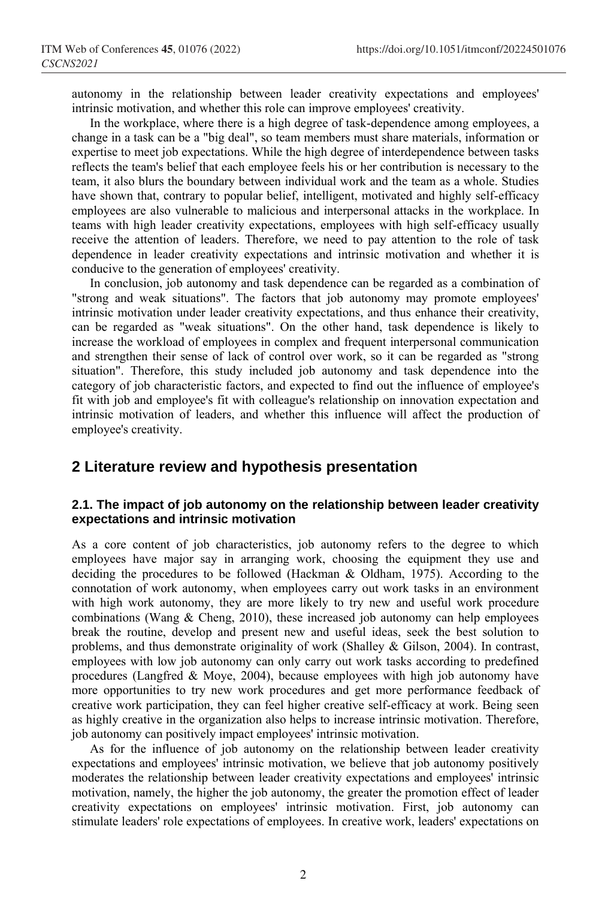autonomy in the relationship between leader creativity expectations and employees' intrinsic motivation, and whether this role can improve employees' creativity.

In the workplace, where there is a high degree of task-dependence among employees, a change in a task can be a "big deal", so team members must share materials, information or expertise to meet job expectations. While the high degree of interdependence between tasks reflects the team's belief that each employee feels his or her contribution is necessary to the team, it also blurs the boundary between individual work and the team as a whole. Studies have shown that, contrary to popular belief, intelligent, motivated and highly self-efficacy employees are also vulnerable to malicious and interpersonal attacks in the workplace. In teams with high leader creativity expectations, employees with high self-efficacy usually receive the attention of leaders. Therefore, we need to pay attention to the role of task dependence in leader creativity expectations and intrinsic motivation and whether it is conducive to the generation of employees' creativity.

In conclusion, job autonomy and task dependence can be regarded as a combination of "strong and weak situations". The factors that job autonomy may promote employees' intrinsic motivation under leader creativity expectations, and thus enhance their creativity, can be regarded as "weak situations". On the other hand, task dependence is likely to increase the workload of employees in complex and frequent interpersonal communication and strengthen their sense of lack of control over work, so it can be regarded as "strong situation". Therefore, this study included job autonomy and task dependence into the category of job characteristic factors, and expected to find out the influence of employee's fit with job and employee's fit with colleague's relationship on innovation expectation and intrinsic motivation of leaders, and whether this influence will affect the production of employee's creativity.

## **2 Literature review and hypothesis presentation**

### **2.1. The impact of job autonomy on the relationship between leader creativity expectations and intrinsic motivation**

As a core content of job characteristics, job autonomy refers to the degree to which employees have major say in arranging work, choosing the equipment they use and deciding the procedures to be followed (Hackman & Oldham, 1975). According to the connotation of work autonomy, when employees carry out work tasks in an environment with high work autonomy, they are more likely to try new and useful work procedure combinations (Wang & Cheng, 2010), these increased job autonomy can help employees break the routine, develop and present new and useful ideas, seek the best solution to problems, and thus demonstrate originality of work (Shalley & Gilson, 2004). In contrast, employees with low job autonomy can only carry out work tasks according to predefined procedures (Langfred & Moye, 2004), because employees with high job autonomy have more opportunities to try new work procedures and get more performance feedback of creative work participation, they can feel higher creative self-efficacy at work. Being seen as highly creative in the organization also helps to increase intrinsic motivation. Therefore, job autonomy can positively impact employees' intrinsic motivation.

As for the influence of job autonomy on the relationship between leader creativity expectations and employees' intrinsic motivation, we believe that job autonomy positively moderates the relationship between leader creativity expectations and employees' intrinsic motivation, namely, the higher the job autonomy, the greater the promotion effect of leader creativity expectations on employees' intrinsic motivation. First, job autonomy can stimulate leaders' role expectations of employees. In creative work, leaders' expectations on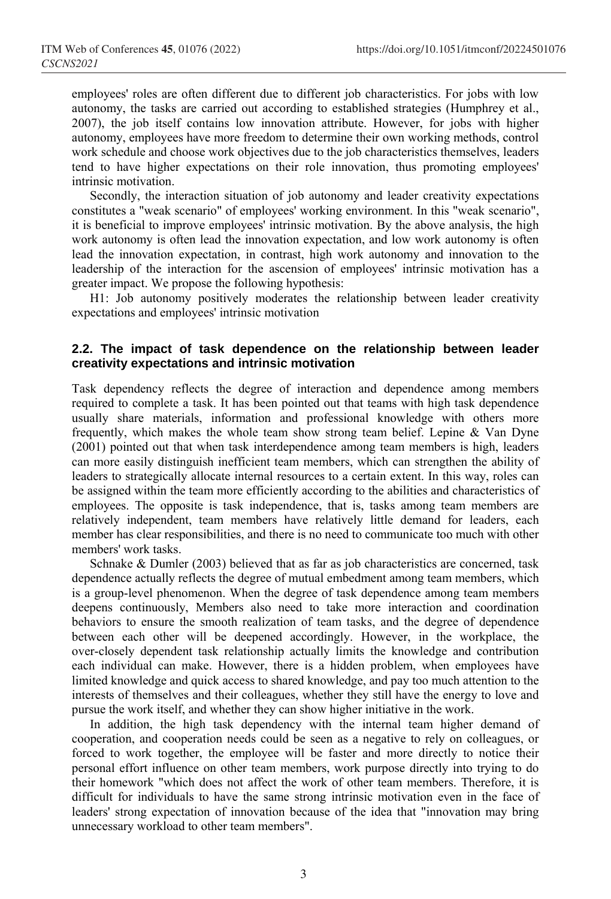employees' roles are often different due to different job characteristics. For jobs with low autonomy, the tasks are carried out according to established strategies (Humphrey et al., 2007), the job itself contains low innovation attribute. However, for jobs with higher autonomy, employees have more freedom to determine their own working methods, control work schedule and choose work objectives due to the job characteristics themselves, leaders tend to have higher expectations on their role innovation, thus promoting employees' intrinsic motivation.

Secondly, the interaction situation of job autonomy and leader creativity expectations constitutes a "weak scenario" of employees' working environment. In this "weak scenario", it is beneficial to improve employees' intrinsic motivation. By the above analysis, the high work autonomy is often lead the innovation expectation, and low work autonomy is often lead the innovation expectation, in contrast, high work autonomy and innovation to the leadership of the interaction for the ascension of employees' intrinsic motivation has a greater impact. We propose the following hypothesis:

H1: Job autonomy positively moderates the relationship between leader creativity expectations and employees' intrinsic motivation

#### **2.2. The impact of task dependence on the relationship between leader creativity expectations and intrinsic motivation**

Task dependency reflects the degree of interaction and dependence among members required to complete a task. It has been pointed out that teams with high task dependence usually share materials, information and professional knowledge with others more frequently, which makes the whole team show strong team belief. Lepine & Van Dyne (2001) pointed out that when task interdependence among team members is high, leaders can more easily distinguish inefficient team members, which can strengthen the ability of leaders to strategically allocate internal resources to a certain extent. In this way, roles can be assigned within the team more efficiently according to the abilities and characteristics of employees. The opposite is task independence, that is, tasks among team members are relatively independent, team members have relatively little demand for leaders, each member has clear responsibilities, and there is no need to communicate too much with other members' work tasks.

Schnake & Dumler (2003) believed that as far as job characteristics are concerned, task dependence actually reflects the degree of mutual embedment among team members, which is a group-level phenomenon. When the degree of task dependence among team members deepens continuously, Members also need to take more interaction and coordination behaviors to ensure the smooth realization of team tasks, and the degree of dependence between each other will be deepened accordingly. However, in the workplace, the over-closely dependent task relationship actually limits the knowledge and contribution each individual can make. However, there is a hidden problem, when employees have limited knowledge and quick access to shared knowledge, and pay too much attention to the interests of themselves and their colleagues, whether they still have the energy to love and pursue the work itself, and whether they can show higher initiative in the work.

In addition, the high task dependency with the internal team higher demand of cooperation, and cooperation needs could be seen as a negative to rely on colleagues, or forced to work together, the employee will be faster and more directly to notice their personal effort influence on other team members, work purpose directly into trying to do their homework "which does not affect the work of other team members. Therefore, it is difficult for individuals to have the same strong intrinsic motivation even in the face of leaders' strong expectation of innovation because of the idea that "innovation may bring unnecessary workload to other team members".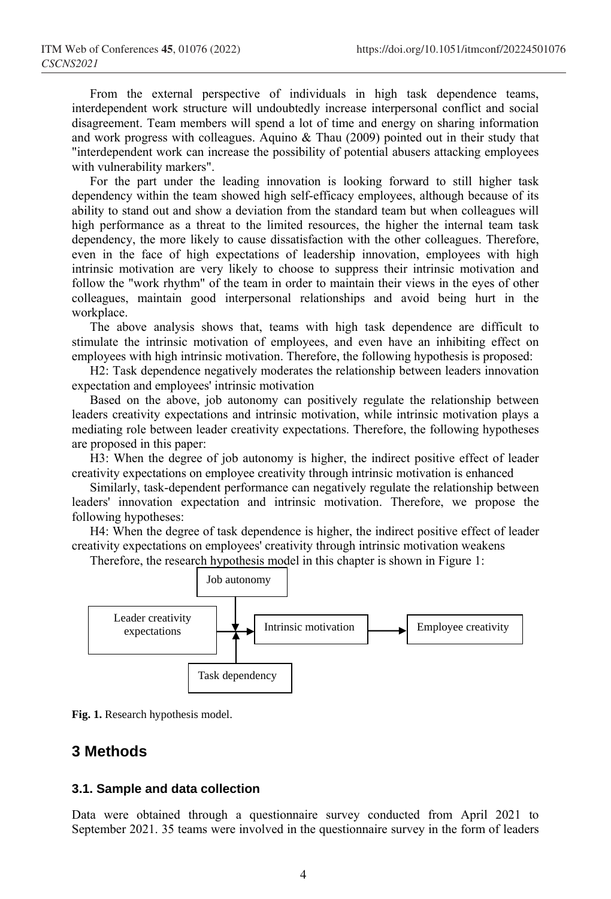From the external perspective of individuals in high task dependence teams, interdependent work structure will undoubtedly increase interpersonal conflict and social disagreement. Team members will spend a lot of time and energy on sharing information and work progress with colleagues. Aquino & Thau (2009) pointed out in their study that "interdependent work can increase the possibility of potential abusers attacking employees with vulnerability markers".

For the part under the leading innovation is looking forward to still higher task dependency within the team showed high self-efficacy employees, although because of its ability to stand out and show a deviation from the standard team but when colleagues will high performance as a threat to the limited resources, the higher the internal team task dependency, the more likely to cause dissatisfaction with the other colleagues. Therefore, even in the face of high expectations of leadership innovation, employees with high intrinsic motivation are very likely to choose to suppress their intrinsic motivation and follow the "work rhythm" of the team in order to maintain their views in the eyes of other colleagues, maintain good interpersonal relationships and avoid being hurt in the workplace.

The above analysis shows that, teams with high task dependence are difficult to stimulate the intrinsic motivation of employees, and even have an inhibiting effect on employees with high intrinsic motivation. Therefore, the following hypothesis is proposed:

H2: Task dependence negatively moderates the relationship between leaders innovation expectation and employees' intrinsic motivation

Based on the above, job autonomy can positively regulate the relationship between leaders creativity expectations and intrinsic motivation, while intrinsic motivation plays a mediating role between leader creativity expectations. Therefore, the following hypotheses are proposed in this paper:

H3: When the degree of job autonomy is higher, the indirect positive effect of leader creativity expectations on employee creativity through intrinsic motivation is enhanced

Similarly, task-dependent performance can negatively regulate the relationship between leaders' innovation expectation and intrinsic motivation. Therefore, we propose the following hypotheses:

H4: When the degree of task dependence is higher, the indirect positive effect of leader creativity expectations on employees' creativity through intrinsic motivation weakens

Therefore, the research hypothesis model in this chapter is shown in Figure 1:



**Fig. 1.** Research hypothesis model.

## **3 Methods**

#### **3.1. Sample and data collection**

Data were obtained through a questionnaire survey conducted from April 2021 to September 2021. 35 teams were involved in the questionnaire survey in the form of leaders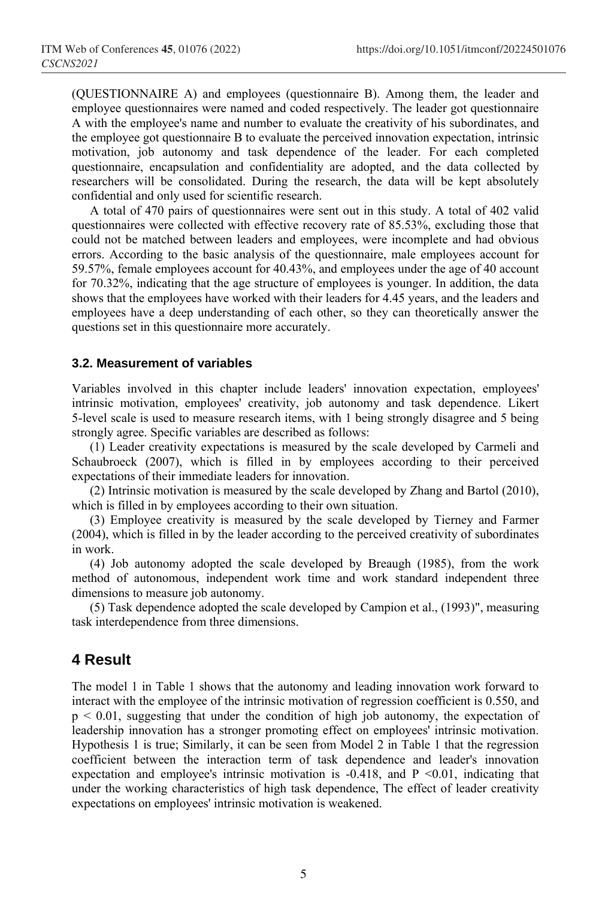(QUESTIONNAIRE A) and employees (questionnaire B). Among them, the leader and employee questionnaires were named and coded respectively. The leader got questionnaire A with the employee's name and number to evaluate the creativity of his subordinates, and the employee got questionnaire B to evaluate the perceived innovation expectation, intrinsic motivation, job autonomy and task dependence of the leader. For each completed questionnaire, encapsulation and confidentiality are adopted, and the data collected by researchers will be consolidated. During the research, the data will be kept absolutely confidential and only used for scientific research.

A total of 470 pairs of questionnaires were sent out in this study. A total of 402 valid questionnaires were collected with effective recovery rate of 85.53%, excluding those that could not be matched between leaders and employees, were incomplete and had obvious errors. According to the basic analysis of the questionnaire, male employees account for 59.57%, female employees account for 40.43%, and employees under the age of 40 account for 70.32%, indicating that the age structure of employees is younger. In addition, the data shows that the employees have worked with their leaders for 4.45 years, and the leaders and employees have a deep understanding of each other, so they can theoretically answer the questions set in this questionnaire more accurately.

#### **3.2. Measurement of variables**

Variables involved in this chapter include leaders' innovation expectation, employees' intrinsic motivation, employees' creativity, job autonomy and task dependence. Likert 5-level scale is used to measure research items, with 1 being strongly disagree and 5 being strongly agree. Specific variables are described as follows:

(1) Leader creativity expectations is measured by the scale developed by Carmeli and Schaubroeck (2007), which is filled in by employees according to their perceived expectations of their immediate leaders for innovation.

(2) Intrinsic motivation is measured by the scale developed by Zhang and Bartol (2010), which is filled in by employees according to their own situation.

(3) Employee creativity is measured by the scale developed by Tierney and Farmer (2004), which is filled in by the leader according to the perceived creativity of subordinates in work.

(4) Job autonomy adopted the scale developed by Breaugh (1985), from the work method of autonomous, independent work time and work standard independent three dimensions to measure job autonomy.

(5) Task dependence adopted the scale developed by Campion et al., (1993)", measuring task interdependence from three dimensions.

# **4 Result**

The model 1 in Table 1 shows that the autonomy and leading innovation work forward to interact with the employee of the intrinsic motivation of regression coefficient is 0.550, and  $p \le 0.01$ , suggesting that under the condition of high job autonomy, the expectation of leadership innovation has a stronger promoting effect on employees' intrinsic motivation. Hypothesis 1 is true; Similarly, it can be seen from Model 2 in Table 1 that the regression coefficient between the interaction term of task dependence and leader's innovation expectation and employee's intrinsic motivation is  $-0.418$ , and  $P \le 0.01$ , indicating that under the working characteristics of high task dependence, The effect of leader creativity expectations on employees' intrinsic motivation is weakened.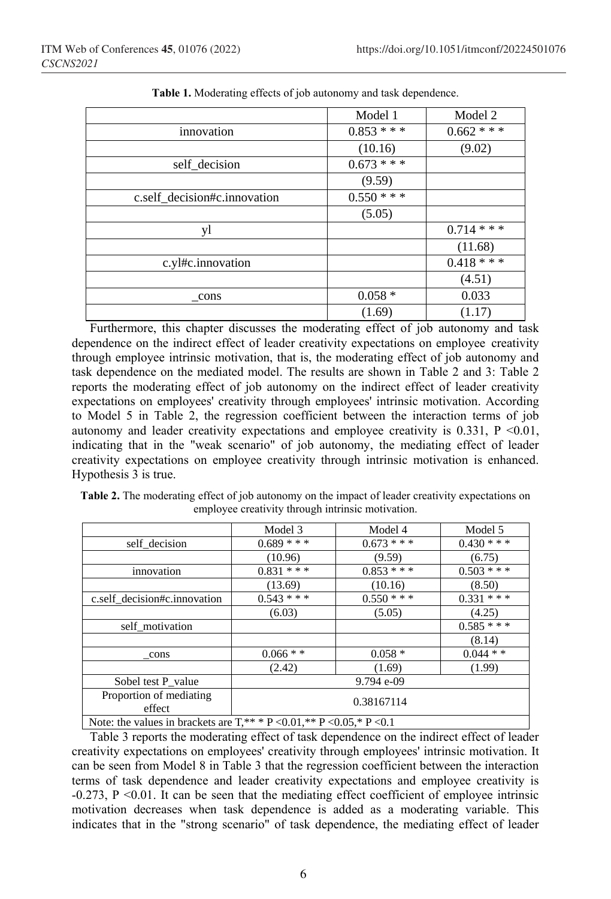|                              | Model 1       | Model 2       |
|------------------------------|---------------|---------------|
| innovation                   | $0.853$ ***   | $0.662$ * * * |
|                              | (10.16)       | (9.02)        |
| self decision                | $0.673**$     |               |
|                              | (9.59)        |               |
| c.self decision#c.innovation | $0.550$ * * * |               |
|                              | (5.05)        |               |
| yl                           |               | $0.714$ * * * |
|                              |               | (11.68)       |
| c.yl#c.innovation            |               | $0.418**$     |
|                              |               | (4.51)        |
| cons                         | $0.058 *$     | 0.033         |
|                              | (1.69)        | (1.17)        |

**Table 1.** Moderating effects of job autonomy and task dependence.

Furthermore, this chapter discusses the moderating effect of job autonomy and task dependence on the indirect effect of leader creativity expectations on employee creativity through employee intrinsic motivation, that is, the moderating effect of job autonomy and task dependence on the mediated model. The results are shown in Table 2 and 3: Table 2 reports the moderating effect of job autonomy on the indirect effect of leader creativity expectations on employees' creativity through employees' intrinsic motivation. According to Model 5 in Table 2, the regression coefficient between the interaction terms of job autonomy and leader creativity expectations and employee creativity is  $0.331$ ,  $P \le 0.01$ , indicating that in the "weak scenario" of job autonomy, the mediating effect of leader creativity expectations on employee creativity through intrinsic motivation is enhanced. Hypothesis 3 is true.

|                                                                                         | Model 3       | Model 4       | Model 5       |
|-----------------------------------------------------------------------------------------|---------------|---------------|---------------|
| self decision                                                                           | $0.689$ ***   | $0.673$ * * * | $0.430***$    |
|                                                                                         | (10.96)       | (9.59)        | (6.75)        |
| innovation                                                                              | $0.831$ * * * | $0.853$ ***   | $0.503$ ***   |
|                                                                                         | (13.69)       | (10.16)       | (8.50)        |
| c.self decision#c.innovation                                                            | $0.543$ ***   | $0.550$ * * * | $0.331$ * * * |
|                                                                                         | (6.03)        | (5.05)        | (4.25)        |
| self motivation                                                                         |               |               | $0.585$ ***   |
|                                                                                         |               |               | (8.14)        |
| cons                                                                                    | $0.066 *$     | $0.058*$      | $0.044**$     |
|                                                                                         | (2.42)        | (1.69)        | (1.99)        |
| Sobel test P_value                                                                      | 9.794 e-09    |               |               |
| Proportion of mediating<br>effect                                                       | 0.38167114    |               |               |
| Motor the volves in breakets one $T$ ** * D $\neq$ 0.01 ** D $\neq$ 0.05 * D $\neq$ 0.1 |               |               |               |

**Table 2.** The moderating effect of job autonomy on the impact of leader creativity expectations on employee creativity through intrinsic motivation.

Note: the values in brackets are  $T^{**}$  \* P < 0.01, \*\* P < 0.05, \* P < 0.1

Table 3 reports the moderating effect of task dependence on the indirect effect of leader creativity expectations on employees' creativity through employees' intrinsic motivation. It can be seen from Model 8 in Table 3 that the regression coefficient between the interaction terms of task dependence and leader creativity expectations and employee creativity is -0.273, P <0.01. It can be seen that the mediating effect coefficient of employee intrinsic motivation decreases when task dependence is added as a moderating variable. This indicates that in the "strong scenario" of task dependence, the mediating effect of leader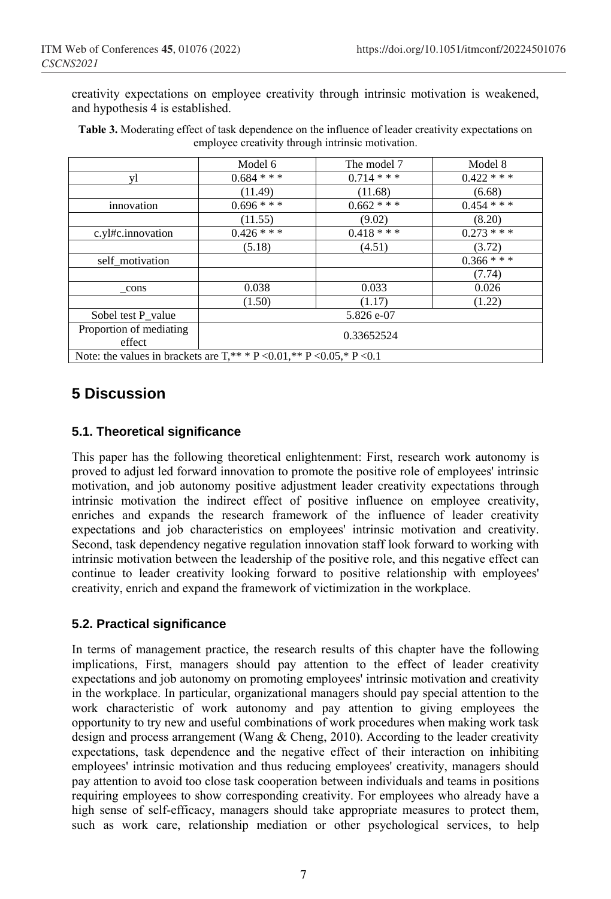creativity expectations on employee creativity through intrinsic motivation is weakened, and hypothesis 4 is established.

|                                                                              | Model 6       | The model 7   | Model 8       |  |
|------------------------------------------------------------------------------|---------------|---------------|---------------|--|
| yl                                                                           | $0.684$ * * * | $0.714$ * * * | $0.422$ * * * |  |
|                                                                              | (11.49)       | (11.68)       | (6.68)        |  |
| innovation                                                                   | $0.696***$    | $0.662$ * * * | $0.454$ * * * |  |
|                                                                              | (11.55)       | (9.02)        | (8.20)        |  |
| c.yl#c.innovation                                                            | $0.426$ ***   | $0.418***$    | $0.273$ ***   |  |
|                                                                              | (5.18)        | (4.51)        | (3.72)        |  |
| self motivation                                                              |               |               | $0.366$ * * * |  |
|                                                                              |               |               | (7.74)        |  |
| _cons                                                                        | 0.038         | 0.033         | 0.026         |  |
|                                                                              | (1.50)        | (1.17)        | (1.22)        |  |
| Sobel test P value                                                           | 5.826 e-07    |               |               |  |
| Proportion of mediating<br>effect                                            | 0.33652524    |               |               |  |
| Note: the values in brackets are $T^{**}$ * P < 0.01, ** P < 0.05, * P < 0.1 |               |               |               |  |

**Table 3.** Moderating effect of task dependence on the influence of leader creativity expectations on employee creativity through intrinsic motivation.

# **5 Discussion**

## **5.1. Theoretical significance**

This paper has the following theoretical enlightenment: First, research work autonomy is proved to adjust led forward innovation to promote the positive role of employees' intrinsic motivation, and job autonomy positive adjustment leader creativity expectations through intrinsic motivation the indirect effect of positive influence on employee creativity, enriches and expands the research framework of the influence of leader creativity expectations and job characteristics on employees' intrinsic motivation and creativity. Second, task dependency negative regulation innovation staff look forward to working with intrinsic motivation between the leadership of the positive role, and this negative effect can continue to leader creativity looking forward to positive relationship with employees' creativity, enrich and expand the framework of victimization in the workplace.

## **5.2. Practical significance**

In terms of management practice, the research results of this chapter have the following implications, First, managers should pay attention to the effect of leader creativity expectations and job autonomy on promoting employees' intrinsic motivation and creativity in the workplace. In particular, organizational managers should pay special attention to the work characteristic of work autonomy and pay attention to giving employees the opportunity to try new and useful combinations of work procedures when making work task design and process arrangement (Wang & Cheng, 2010). According to the leader creativity expectations, task dependence and the negative effect of their interaction on inhibiting employees' intrinsic motivation and thus reducing employees' creativity, managers should pay attention to avoid too close task cooperation between individuals and teams in positions requiring employees to show corresponding creativity. For employees who already have a high sense of self-efficacy, managers should take appropriate measures to protect them, such as work care, relationship mediation or other psychological services, to help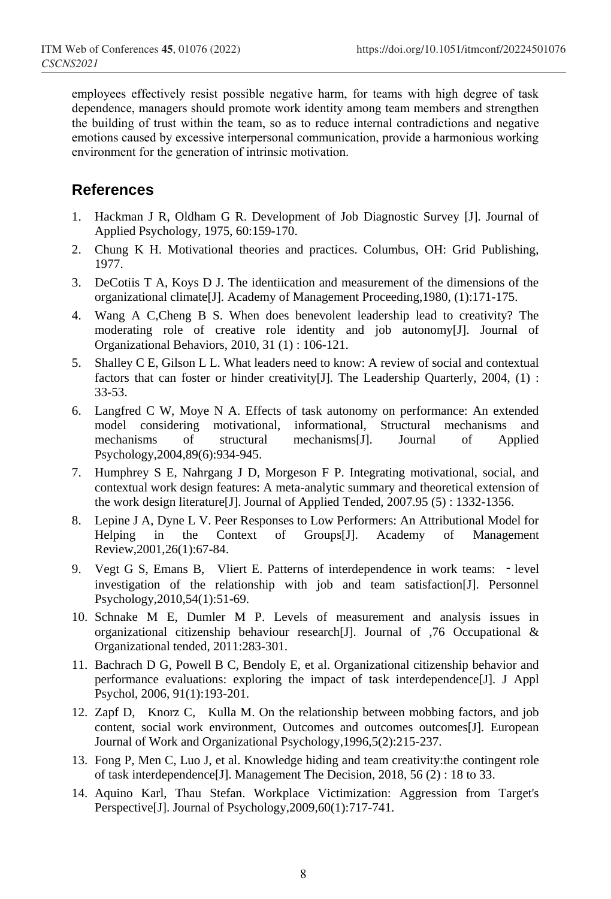employees effectively resist possible negative harm, for teams with high degree of task dependence, managers should promote work identity among team members and strengthen the building of trust within the team, so as to reduce internal contradictions and negative emotions caused by excessive interpersonal communication, provide a harmonious working environment for the generation of intrinsic motivation.

## **References**

- 1. Hackman J R, Oldham G R. Development of Job Diagnostic Survey [J]. Journal of Applied Psychology, 1975, 60:159-170.
- 2. Chung K H. Motivational theories and practices. Columbus, OH: Grid Publishing, 1977.
- 3. DeCotiis T A, Koys D J. The identiication and measurement of the dimensions of the organizational climate[J]. Academy of Management Proceeding,1980, (1):171-175.
- 4. Wang A C,Cheng B S. When does benevolent leadership lead to creativity? The moderating role of creative role identity and job autonomy[J]. Journal of Organizational Behaviors, 2010, 31 (1) : 106-121.
- 5. Shalley C E, Gilson L L. What leaders need to know: A review of social and contextual factors that can foster or hinder creativity[J]. The Leadership Quarterly, 2004, (1) : 33-53.
- 6. Langfred C W, Moye N A. Effects of task autonomy on performance: An extended model considering motivational, informational, Structural mechanisms and mechanisms of structural mechanisms[J]. Journal of Applied Psychology,2004,89(6):934-945.
- 7. Humphrey S E, Nahrgang J D, Morgeson F P. Integrating motivational, social, and contextual work design features: A meta-analytic summary and theoretical extension of the work design literature[J]. Journal of Applied Tended, 2007.95 (5) : 1332-1356.
- 8. Lepine J A, Dyne L V. Peer Responses to Low Performers: An Attributional Model for Helping in the Context of Groups[J]. Academy of Management Review,2001,26(1):67-84.
- 9. Vegt G S, Emans B, Vliert E. Patterns of interdependence in work teams: level investigation of the relationship with job and team satisfaction[J]. Personnel Psychology,2010,54(1):51-69.
- 10. Schnake M E, Dumler M P. Levels of measurement and analysis issues in organizational citizenship behaviour research[J]. Journal of ,76 Occupational & Organizational tended, 2011:283-301.
- 11. Bachrach D G, Powell B C, Bendoly E, et al. Organizational citizenship behavior and performance evaluations: exploring the impact of task interdependence[J]. J Appl Psychol, 2006, 91(1):193-201.
- 12. Zapf D, Knorz C, Kulla M. On the relationship between mobbing factors, and job content, social work environment, Outcomes and outcomes outcomes[J]. European Journal of Work and Organizational Psychology,1996,5(2):215-237.
- 13. Fong P, Men C, Luo J, et al. Knowledge hiding and team creativity:the contingent role of task interdependence[J]. Management The Decision, 2018, 56 (2) : 18 to 33.
- 14. Aquino Karl, Thau Stefan. Workplace Victimization: Aggression from Target's Perspective[J]. Journal of Psychology, 2009, 60(1): 717-741.